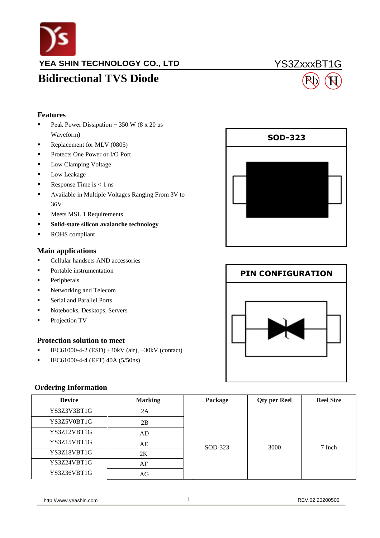

**YEA SHIN TECHNOLOGY CO., LTD**

### YS3ZxxxBT1G

## **Bidirectional TVS Diode**

# H

### **Features**

- Peak Power Dissipation  $-350$  W (8 x 20 us Waveform)
- Replacement for MLV (0805)
- **Protects One Power or I/O Port**
- **Low Clamping Voltage**
- **Low Leakage**
- Response Time is  $< 1$  ns
- Available in Multiple Voltages Ranging From 3V to 36V
- $\blacksquare$  Meets MSL 1 Requirements
- **Solid-state silicon avalanche technology**
- ROHS compliant

### **Main applications**

- Cellular handsets AND accessories
- Portable instrumentation
- **•** Peripherals
- **Networking and Telecom**
- **Serial and Parallel Ports**
- Notebooks, Desktops, Servers
- Projection TV

### **Protection solution to meet**

- **IEC61000-4-2 (ESD)**  $\pm 30kV$  (air),  $\pm 30kV$  (contact)
- $\blacksquare$  IEC61000-4-4 (EFT) 40A (5/50ns)

### **Ordering Information**

| <b>Device</b> | <b>Marking</b> | Package | <b>Qty per Reel</b> | <b>Reel Size</b> |
|---------------|----------------|---------|---------------------|------------------|
| YS3Z3V3BT1G   | 2A             |         |                     | 7 Inch           |
| YS3Z5V0BT1G   | 2B             | SOD-323 | 3000                |                  |
| YS3Z12VBT1G   | AD             |         |                     |                  |
| YS3Z15VBT1G   | AE             |         |                     |                  |
| YS3Z18VBT1G   | 2K             |         |                     |                  |
| YS3Z24VBT1G   | AF             |         |                     |                  |
| YS3Z36VBT1G   | AG             |         |                     |                  |





http://www.yeashin.com 1 1 1 20200505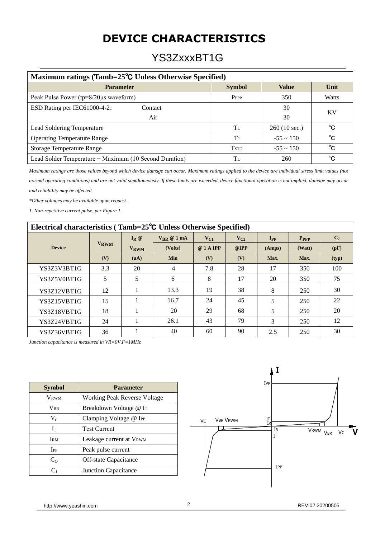## **DEVICE CHARACTERISTICS**

### YS3ZxxxBT1G

| Maximum ratings (Tamb=25 <sup>o</sup> C Unless Otherwise Specified) |                  |                |              |  |
|---------------------------------------------------------------------|------------------|----------------|--------------|--|
| <b>Parameter</b>                                                    | <b>Symbol</b>    | <b>Value</b>   | Unit         |  |
| Peak Pulse Power (tp=8/20µs waveform)                               | P <sub>PPP</sub> | 350            | <b>Watts</b> |  |
| ESD Rating per IEC61000-4-2:<br>Contact                             |                  | 30             | KV           |  |
| Air                                                                 |                  | 30             |              |  |
| Lead Soldering Temperature                                          | Tī.              | 260 (10 sec.)  | °C           |  |
| <b>Operating Temperature Range</b>                                  | T                | $-55 \sim 150$ | °C           |  |
| <b>Storage Temperature Range</b>                                    | <b>TSTG</b>      | $-55 \sim 150$ | $^{\circ}$ C |  |
| Lead Solder Temperature – Maximum (10 Second Duration)              | Tг.              | 260            | °C           |  |

*Maximum ratings are those values beyond which device damage can occur. Maximum ratings applied to the device are individual stress limit values (not* 

*normal operating conditions) and are not valid simultaneously. If these limits are exceeded, device functional operation is not implied, damage may occur and reliability may be affected.*

*\*Other voltages may be available upon request.*

*1. Non-repetitive current pulse, per Figure 1.*

| Electrical characteristics (Tamb=25 <sup>o</sup> C Unless Otherwise Specified) |             |                        |                                               |           |                |          |           |         |
|--------------------------------------------------------------------------------|-------------|------------------------|-----------------------------------------------|-----------|----------------|----------|-----------|---------|
|                                                                                |             | $I_R$ @                | $V_{\mathbf{R}\mathbf{R}}\otimes 1\text{ mA}$ | $V_{C1}$  | $V_{C2}$       | $I_{PP}$ | $P_{PPP}$ | $C_{J}$ |
| <b>Device</b>                                                                  | <b>VRWM</b> | <b>V<sub>RWM</sub></b> | (Volts)                                       | @ 1 A IPP | $@$ <b>IPP</b> | (Amps)   | (Watt)    | (pF)    |
|                                                                                | (V)         | (uA)                   | <b>Min</b>                                    | (V)       | (V)            | Max.     | Max.      | (typ)   |
| YS3Z3V3BT1G                                                                    | 3.3         | 20                     | 4                                             | 7.8       | 28             | 17       | 350       | 100     |
| YS3Z5V0BT1G                                                                    | 5           | 5                      | 6                                             | 8         | 17             | 20       | 350       | 75      |
| YS3Z12VBT1G                                                                    | 12          |                        | 13.3                                          | 19        | 38             | 8        | 250       | 30      |
| YS3Z15VBT1G                                                                    | 15          |                        | 16.7                                          | 24        | 45             | 5        | 250       | 22      |
| YS3Z18VBT1G                                                                    | 18          |                        | 20                                            | 29        | 68             | 5        | 250       | 20      |
| YS3Z24VBT1G                                                                    | 24          |                        | 26.1                                          | 43        | 79             | 3        | 250       | 12      |
| YS3Z36VBT1G                                                                    | 36          |                        | 40                                            | 60        | 90             | 2.5      | 250       | 30      |

*Junction capacitance is measured in VR=0V,F=1MHz*

| <b>Symbol</b>          | <b>Parameter</b>                   |  |
|------------------------|------------------------------------|--|
| <b>VRWM</b>            | Working Peak Reverse Voltage       |  |
| <b>VBR</b>             | Breakdown Voltage @ I <sub>T</sub> |  |
| $V_C$                  | Clamping Voltage @ IPP             |  |
| $I_T$                  | <b>Test Current</b>                |  |
| <b>IRM</b>             | Leakage current at VRWM            |  |
| <b>T</b> <sub>PP</sub> | Peak pulse current                 |  |
| $C_{O}$                | Off-state Capacitance              |  |
| Cı                     | Junction Capacitance               |  |



http://www.yeashin.com 2 2 REV.02 20200505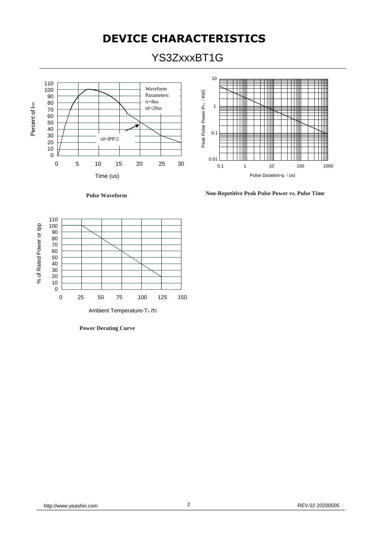## **DEVICE CHARACTERISTICS**

YS3ZxxxBT1G





**Non-Repetitive Peak Pulse Power vs. Pulse Time Pulse Waveform**





**Power Derating Curve**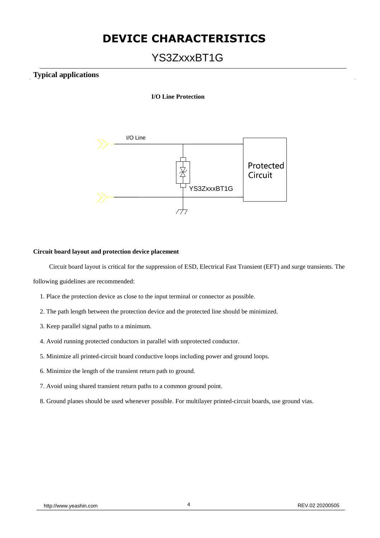### **DEVICE CHARACTERISTICS**

### YS3ZxxxBT1G

### **Typical applications**

#### **I/O Line Protection**



#### **Circuit board layout and protection device placement**

Circuit board layout is critical for the suppression of ESD, Electrical Fast Transient (EFT) and surge transients. The

following guidelines are recommended:

- 1. Place the protection device as close to the input terminal or connector as possible.
- 2. The path length between the protection device and the protected line should be minimized.
- 3. Keep parallel signal paths to a minimum.
- 4. Avoid running protected conductors in parallel with unprotected conductor.
- 5. Minimize all printed-circuit board conductive loops including power and ground loops.
- 6. Minimize the length of the transient return path to ground.
- 7. Avoid using shared transient return paths to a common ground point.
- 8. Ground planes should be used whenever possible. For multilayer printed-circuit boards, use ground vias.